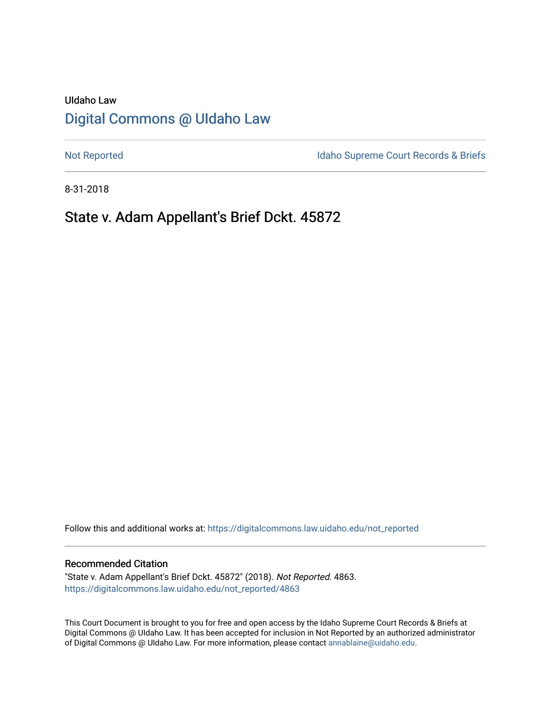# UIdaho Law [Digital Commons @ UIdaho Law](https://digitalcommons.law.uidaho.edu/)

[Not Reported](https://digitalcommons.law.uidaho.edu/not_reported) **Idaho Supreme Court Records & Briefs** 

8-31-2018

# State v. Adam Appellant's Brief Dckt. 45872

Follow this and additional works at: [https://digitalcommons.law.uidaho.edu/not\\_reported](https://digitalcommons.law.uidaho.edu/not_reported?utm_source=digitalcommons.law.uidaho.edu%2Fnot_reported%2F4863&utm_medium=PDF&utm_campaign=PDFCoverPages) 

## Recommended Citation

"State v. Adam Appellant's Brief Dckt. 45872" (2018). Not Reported. 4863. [https://digitalcommons.law.uidaho.edu/not\\_reported/4863](https://digitalcommons.law.uidaho.edu/not_reported/4863?utm_source=digitalcommons.law.uidaho.edu%2Fnot_reported%2F4863&utm_medium=PDF&utm_campaign=PDFCoverPages)

This Court Document is brought to you for free and open access by the Idaho Supreme Court Records & Briefs at Digital Commons @ UIdaho Law. It has been accepted for inclusion in Not Reported by an authorized administrator of Digital Commons @ UIdaho Law. For more information, please contact [annablaine@uidaho.edu](mailto:annablaine@uidaho.edu).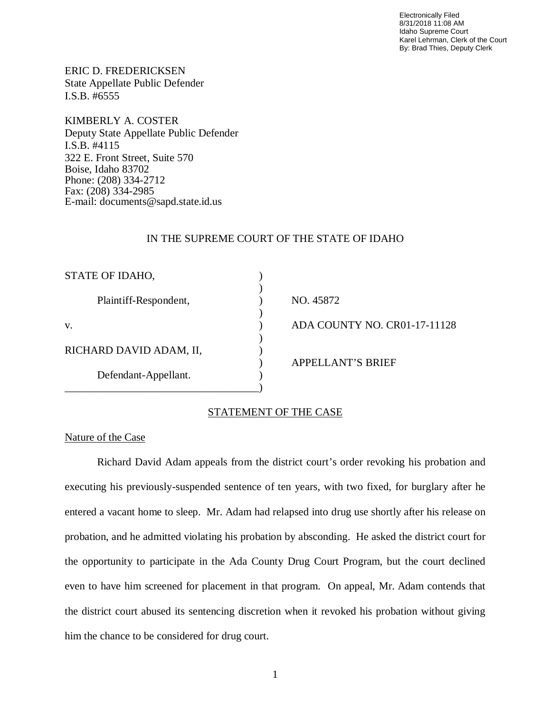Electronically Filed 8/31/2018 11:08 AM Idaho Supreme Court Karel Lehrman, Clerk of the Court By: Brad Thies, Deputy Clerk

ERIC D. FREDERICKSEN State Appellate Public Defender I.S.B. #6555

KIMBERLY A. COSTER Deputy State Appellate Public Defender I.S.B. #4115 322 E. Front Street, Suite 570 Boise, Idaho 83702 Phone: (208) 334-2712 Fax: (208) 334-2985 E-mail: documents@sapd.state.id.us

## IN THE SUPREME COURT OF THE STATE OF IDAHO

| STATE OF IDAHO,         |                              |
|-------------------------|------------------------------|
| Plaintiff-Respondent,   | NO. 45872                    |
| V.                      | ADA COUNTY NO. CR01-17-11128 |
| RICHARD DAVID ADAM, II, |                              |
| Defendant-Appellant.    | <b>APPELLANT'S BRIEF</b>     |
|                         |                              |

# STATEMENT OF THE CASE

## Nature of the Case

Richard David Adam appeals from the district court's order revoking his probation and executing his previously-suspended sentence of ten years, with two fixed, for burglary after he entered a vacant home to sleep. Mr. Adam had relapsed into drug use shortly after his release on probation, and he admitted violating his probation by absconding. He asked the district court for the opportunity to participate in the Ada County Drug Court Program, but the court declined even to have him screened for placement in that program. On appeal, Mr. Adam contends that the district court abused its sentencing discretion when it revoked his probation without giving him the chance to be considered for drug court.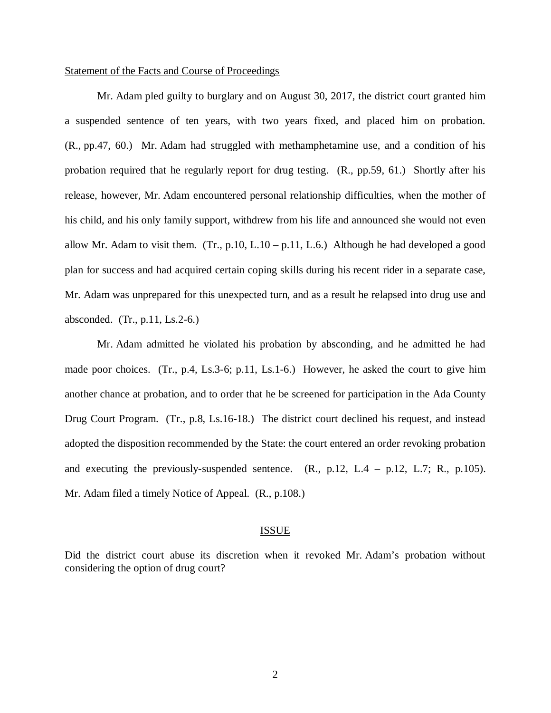### Statement of the Facts and Course of Proceedings

Mr. Adam pled guilty to burglary and on August 30, 2017, the district court granted him a suspended sentence of ten years, with two years fixed, and placed him on probation. (R., pp.47, 60.) Mr. Adam had struggled with methamphetamine use, and a condition of his probation required that he regularly report for drug testing. (R., pp.59, 61.) Shortly after his release, however, Mr. Adam encountered personal relationship difficulties, when the mother of his child, and his only family support, withdrew from his life and announced she would not even allow Mr. Adam to visit them. (Tr., p.10, L.10 – p.11, L.6.) Although he had developed a good plan for success and had acquired certain coping skills during his recent rider in a separate case, Mr. Adam was unprepared for this unexpected turn, and as a result he relapsed into drug use and absconded. (Tr., p.11, Ls.2-6.)

Mr. Adam admitted he violated his probation by absconding, and he admitted he had made poor choices. (Tr., p.4, Ls.3-6; p.11, Ls.1-6.) However, he asked the court to give him another chance at probation, and to order that he be screened for participation in the Ada County Drug Court Program. (Tr., p.8, Ls.16-18.) The district court declined his request, and instead adopted the disposition recommended by the State: the court entered an order revoking probation and executing the previously-suspended sentence.  $(R., p.12, L.4 - p.12, L.7; R., p.105)$ . Mr. Adam filed a timely Notice of Appeal. (R., p.108.)

#### ISSUE

Did the district court abuse its discretion when it revoked Mr. Adam's probation without considering the option of drug court?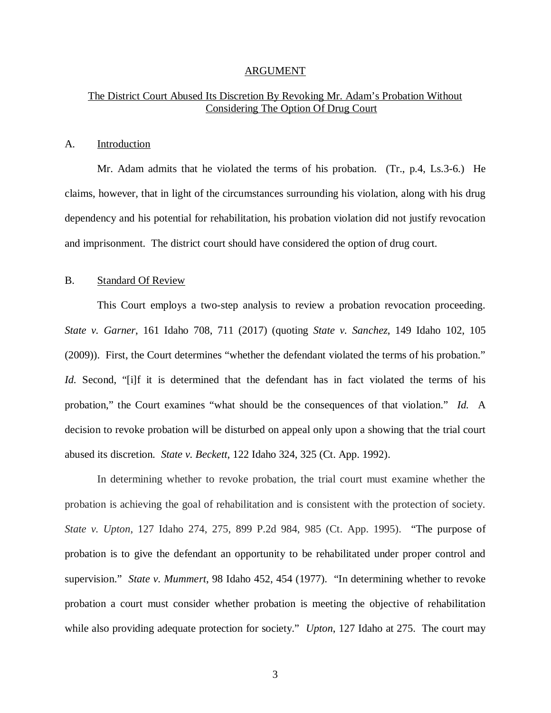#### ARGUMENT

## The District Court Abused Its Discretion By Revoking Mr. Adam's Probation Without Considering The Option Of Drug Court

#### A. Introduction

Mr. Adam admits that he violated the terms of his probation. (Tr., p.4, Ls.3-6.) He claims, however, that in light of the circumstances surrounding his violation, along with his drug dependency and his potential for rehabilitation, his probation violation did not justify revocation and imprisonment. The district court should have considered the option of drug court.

## B. Standard Of Review

This Court employs a two-step analysis to review a probation revocation proceeding. *State v. Garner*, 161 Idaho 708, 711 (2017) (quoting *State v. Sanchez*, 149 Idaho 102, 105 (2009)). First, the Court determines "whether the defendant violated the terms of his probation." *Id.* Second, "[i]f it is determined that the defendant has in fact violated the terms of his probation," the Court examines "what should be the consequences of that violation." *Id.* A decision to revoke probation will be disturbed on appeal only upon a showing that the trial court abused its discretion. *State v. Beckett*, 122 Idaho 324, 325 (Ct. App. 1992).

In determining whether to revoke probation, the trial court must examine whether the probation is achieving the goal of rehabilitation and is consistent with the protection of society. *State v. Upton*, 127 Idaho 274, 275, 899 P.2d 984, 985 (Ct. App. 1995). "The purpose of probation is to give the defendant an opportunity to be rehabilitated under proper control and supervision." *State v. Mummert*, 98 Idaho 452, 454 (1977). "In determining whether to revoke probation a court must consider whether probation is meeting the objective of rehabilitation while also providing adequate protection for society." *Upton*, 127 Idaho at 275. The court may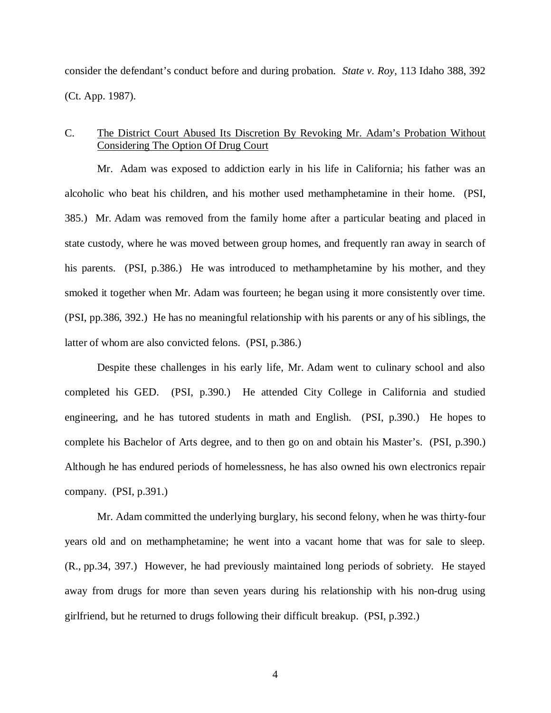consider the defendant's conduct before and during probation. *State v. Roy*, 113 Idaho 388, 392 (Ct. App. 1987).

## C. The District Court Abused Its Discretion By Revoking Mr. Adam's Probation Without Considering The Option Of Drug Court

Mr. Adam was exposed to addiction early in his life in California; his father was an alcoholic who beat his children, and his mother used methamphetamine in their home. (PSI, 385.) Mr. Adam was removed from the family home after a particular beating and placed in state custody, where he was moved between group homes, and frequently ran away in search of his parents. (PSI, p.386.) He was introduced to methamphetamine by his mother, and they smoked it together when Mr. Adam was fourteen; he began using it more consistently over time. (PSI, pp.386, 392.) He has no meaningful relationship with his parents or any of his siblings, the latter of whom are also convicted felons. (PSI, p.386.)

Despite these challenges in his early life, Mr. Adam went to culinary school and also completed his GED. (PSI, p.390.) He attended City College in California and studied engineering, and he has tutored students in math and English. (PSI, p.390.) He hopes to complete his Bachelor of Arts degree, and to then go on and obtain his Master's. (PSI, p.390.) Although he has endured periods of homelessness, he has also owned his own electronics repair company. (PSI, p.391.)

Mr. Adam committed the underlying burglary, his second felony, when he was thirty-four years old and on methamphetamine; he went into a vacant home that was for sale to sleep. (R., pp.34, 397.) However, he had previously maintained long periods of sobriety. He stayed away from drugs for more than seven years during his relationship with his non-drug using girlfriend, but he returned to drugs following their difficult breakup. (PSI, p.392.)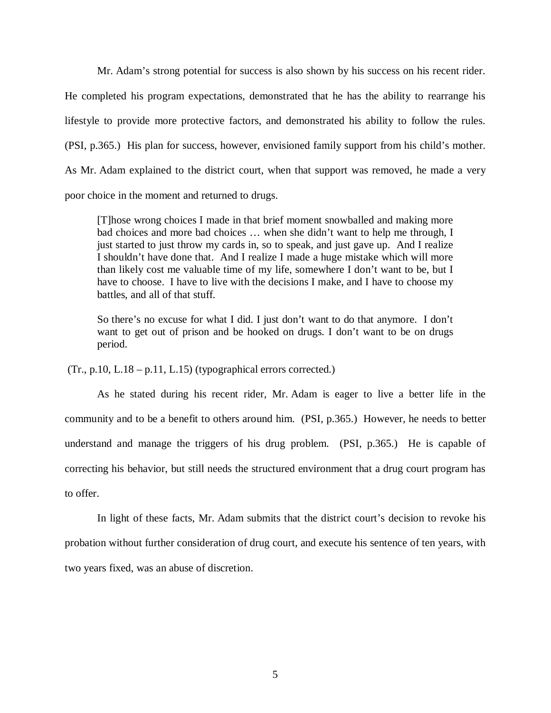Mr. Adam's strong potential for success is also shown by his success on his recent rider. He completed his program expectations, demonstrated that he has the ability to rearrange his lifestyle to provide more protective factors, and demonstrated his ability to follow the rules. (PSI, p.365.) His plan for success, however, envisioned family support from his child's mother. As Mr. Adam explained to the district court, when that support was removed, he made a very poor choice in the moment and returned to drugs.

[T]hose wrong choices I made in that brief moment snowballed and making more bad choices and more bad choices … when she didn't want to help me through, I just started to just throw my cards in, so to speak, and just gave up. And I realize I shouldn't have done that. And I realize I made a huge mistake which will more than likely cost me valuable time of my life, somewhere I don't want to be, but I have to choose. I have to live with the decisions I make, and I have to choose my battles, and all of that stuff.

So there's no excuse for what I did. I just don't want to do that anymore. I don't want to get out of prison and be hooked on drugs. I don't want to be on drugs period.

 $(Tr., p.10, L.18 - p.11, L.15)$  (typographical errors corrected.)

As he stated during his recent rider, Mr. Adam is eager to live a better life in the community and to be a benefit to others around him. (PSI, p.365.) However, he needs to better understand and manage the triggers of his drug problem. (PSI, p.365.) He is capable of correcting his behavior, but still needs the structured environment that a drug court program has to offer.

In light of these facts, Mr. Adam submits that the district court's decision to revoke his probation without further consideration of drug court, and execute his sentence of ten years, with two years fixed, was an abuse of discretion.